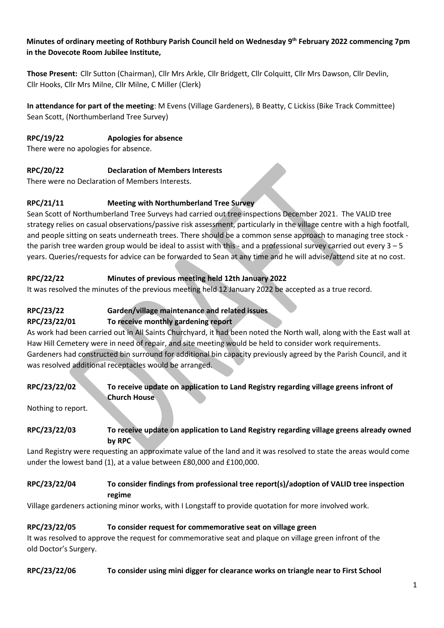#### **Minutes of ordinary meeting of Rothbury Parish Council held on Wednesday 9 th February 2022 commencing 7pm in the Dovecote Room Jubilee Institute,**

**Those Present:** Cllr Sutton (Chairman), Cllr Mrs Arkle, Cllr Bridgett, Cllr Colquitt, Cllr Mrs Dawson, Cllr Devlin, Cllr Hooks, Cllr Mrs Milne, Cllr Milne, C Miller (Clerk)

**In attendance for part of the meeting**: M Evens (Village Gardeners), B Beatty, C Lickiss (Bike Track Committee) Sean Scott, (Northumberland Tree Survey)

## **RPC/19/22 Apologies for absence**

There were no apologies for absence.

#### **RPC/20/22 Declaration of Members Interests**

There were no Declaration of Members Interests.

## **RPC/21/11 Meeting with Northumberland Tree Survey**

Sean Scott of Northumberland Tree Surveys had carried out tree inspections December 2021. The VALID tree strategy relies on casual observations/passive risk assessment, particularly in the village centre with a high footfall, and people sitting on seats underneath trees. There should be a common sense approach to managing tree stock the parish tree warden group would be ideal to assist with this - and a professional survey carried out every 3 – 5 years. Queries/requests for advice can be forwarded to Sean at any time and he will advise/attend site at no cost.

## **RPC/22/22 Minutes of previous meeting held 12th January 2022**

It was resolved the minutes of the previous meeting held 12 January 2022 be accepted as a true record.

# **RPC/23/22 Garden/village maintenance and related issues**

## **RPC/23/22/01 To receive monthly gardening report**

As work had been carried out in All Saints Churchyard, it had been noted the North wall, along with the East wall at Haw Hill Cemetery were in need of repair, and site meeting would be held to consider work requirements. Gardeners had constructed bin surround for additional bin capacity previously agreed by the Parish Council, and it was resolved additional receptacles would be arranged.

## **RPC/23/22/02 To receive update on application to Land Registry regarding village greens infront of Church House**

Nothing to report.

#### **RPC/23/22/03 To receive update on application to Land Registry regarding village greens already owned by RPC**

Land Registry were requesting an approximate value of the land and it was resolved to state the areas would come under the lowest band (1), at a value between £80,000 and £100,000.

#### **RPC/23/22/04 To consider findings from professional tree report(s)/adoption of VALID tree inspection regime**

Village gardeners actioning minor works, with I Longstaff to provide quotation for more involved work.

## **RPC/23/22/05 To consider request for commemorative seat on village green**

It was resolved to approve the request for commemorative seat and plaque on village green infront of the old Doctor's Surgery.

#### **RPC/23/22/06 To consider using mini digger for clearance works on triangle near to First School**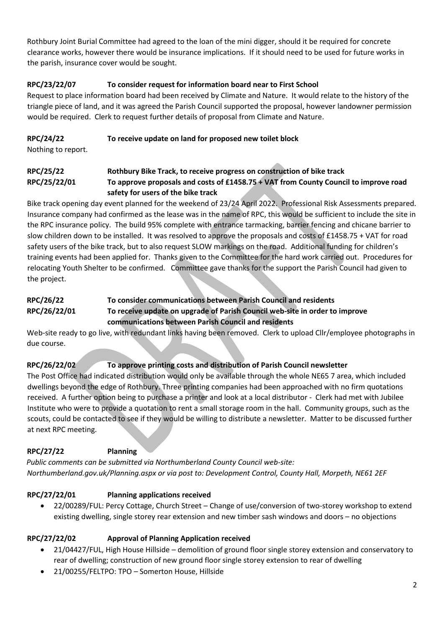Rothbury Joint Burial Committee had agreed to the loan of the mini digger, should it be required for concrete clearance works, however there would be insurance implications. If it should need to be used for future works in the parish, insurance cover would be sought.

## **RPC/23/22/07 To consider request for information board near to First School**

Request to place information board had been received by Climate and Nature. It would relate to the history of the triangle piece of land, and it was agreed the Parish Council supported the proposal, however landowner permission would be required. Clerk to request further details of proposal from Climate and Nature.

## **RPC/24/22 To receive update on land for proposed new toilet block**

Nothing to report.

## **RPC/25/22 Rothbury Bike Track, to receive progress on construction of bike track RPC/25/22/01 To approve proposals and costs of £1458.75 + VAT from County Council to improve road safety for users of the bike track**

Bike track opening day event planned for the weekend of 23/24 April 2022. Professional Risk Assessments prepared. Insurance company had confirmed as the lease was in the name of RPC, this would be sufficient to include the site in the RPC insurance policy. The build 95% complete with entrance tarmacking, barrier fencing and chicane barrier to slow children down to be installed. It was resolved to approve the proposals and costs of £1458.75 + VAT for road safety users of the bike track, but to also request SLOW markings on the road. Additional funding for children's training events had been applied for. Thanks given to the Committee for the hard work carried out. Procedures for relocating Youth Shelter to be confirmed. Committee gave thanks for the support the Parish Council had given to the project.

#### **RPC/26/22 To consider communications between Parish Council and residents RPC/26/22/01 To receive update on upgrade of Parish Council web-site in order to improve communications between Parish Council and residents**

Web-site ready to go live, with redundant links having been removed. Clerk to upload Cllr/employee photographs in due course.

# **RPC/26/22/02 To approve printing costs and distribution of Parish Council newsletter**

The Post Office had indicated distribution would only be available through the whole NE65 7 area, which included dwellings beyond the edge of Rothbury. Three printing companies had been approached with no firm quotations received. A further option being to purchase a printer and look at a local distributor - Clerk had met with Jubilee Institute who were to provide a quotation to rent a small storage room in the hall. Community groups, such as the scouts, could be contacted to see if they would be willing to distribute a newsletter. Matter to be discussed further at next RPC meeting.

## **RPC/27/22 Planning**

*Public comments can be submitted via Northumberland County Council web-site: Northumberland.gov.uk/Planning.aspx or via post to: Development Control, County Hall, Morpeth, NE61 2EF*

# **RPC/27/22/01 Planning applications received**

• 22/00289/FUL: Percy Cottage, Church Street – Change of use/conversion of two-storey workshop to extend existing dwelling, single storey rear extension and new timber sash windows and doors – no objections

## **RPC/27/22/02 Approval of Planning Application received**

- 21/04427/FUL, High House Hillside demolition of ground floor single storey extension and conservatory to rear of dwelling; construction of new ground floor single storey extension to rear of dwelling
- 21/00255/FELTPO: TPO Somerton House, Hillside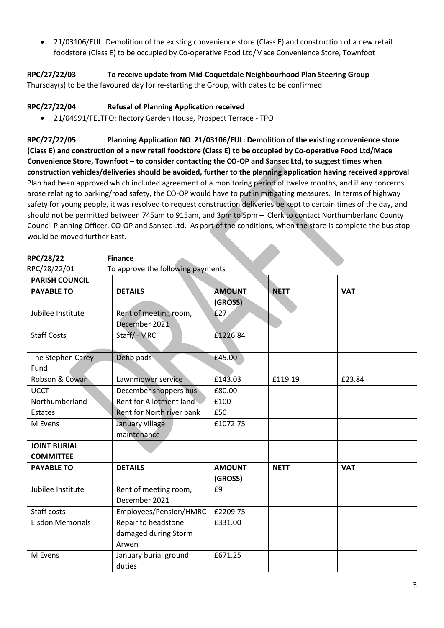• 21/03106/FUL: Demolition of the existing convenience store (Class E) and construction of a new retail foodstore (Class E) to be occupied by Co-operative Food Ltd/Mace Convenience Store, Townfoot

**RPC/27/22/03 To receive update from Mid-Coquetdale Neighbourhood Plan Steering Group**

Thursday(s) to be the favoured day for re-starting the Group, with dates to be confirmed.

## **RPC/27/22/04 Refusal of Planning Application received**

**RPC/28/22 Finance**

• 21/04991/FELTPO: Rectory Garden House, Prospect Terrace - TPO

**RPC/27/22/05 Planning Application NO 21/03106/FUL: Demolition of the existing convenience store (Class E) and construction of a new retail foodstore (Class E) to be occupied by Co-operative Food Ltd/Mace Convenience Store, Townfoot – to consider contacting the CO-OP and Sansec Ltd, to suggest times when construction vehicles/deliveries should be avoided, further to the planning application having received approval** Plan had been approved which included agreement of a monitoring period of twelve months, and if any concerns arose relating to parking/road safety, the CO-OP would have to put in mitigating measures. In terms of highway safety for young people, it was resolved to request construction deliveries be kept to certain times of the day, and should not be permitted between 745am to 915am, and 3pm to 5pm – Clerk to contact Northumberland County Council Planning Officer, CO-OP and Sansec Ltd. As part of the conditions, when the store is complete the bus stop would be moved further East.

| <b>PARISH COUNCIL</b>     |                                                      |                          |             |            |
|---------------------------|------------------------------------------------------|--------------------------|-------------|------------|
| <b>PAYABLE TO</b>         | <b>DETAILS</b>                                       | <b>AMOUNT</b><br>(GROSS) | <b>NETT</b> | <b>VAT</b> |
| Jubilee Institute         | Rent of meeting room,<br>December 2021               | £27                      |             |            |
| <b>Staff Costs</b>        | Staff/HMRC                                           | £1226.84                 |             |            |
| The Stephen Carey<br>Fund | Defib pads                                           | £45.00                   |             |            |
| Robson & Cowan            | Lawnmower service                                    | £143.03                  | £119.19     | £23.84     |
| <b>UCCT</b>               | December shoppers bus                                | £80.00                   |             |            |
| Northumberland            | Rent for Allotment land                              | £100                     |             |            |
| Estates                   | Rent for North river bank                            | £50                      |             |            |
| M Evens                   | January village<br>maintenance                       | £1072.75                 |             |            |
| <b>JOINT BURIAL</b>       |                                                      |                          |             |            |
| <b>COMMITTEE</b>          |                                                      |                          |             |            |
| <b>PAYABLE TO</b>         | <b>DETAILS</b>                                       | <b>AMOUNT</b><br>(GROSS) | <b>NETT</b> | <b>VAT</b> |
| Jubilee Institute         | Rent of meeting room,<br>December 2021               | £9                       |             |            |
| Staff costs               | Employees/Pension/HMRC                               | £2209.75                 |             |            |
| <b>Elsdon Memorials</b>   | Repair to headstone<br>damaged during Storm<br>Arwen | £331.00                  |             |            |
| M Evens                   | January burial ground<br>duties                      | £671.25                  |             |            |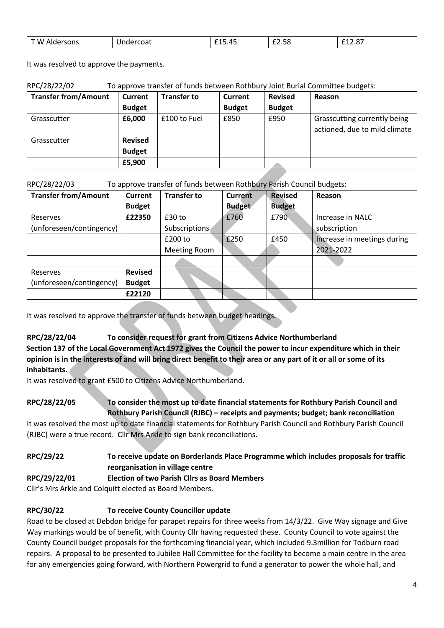| $- \cdot \cdot$<br>W.<br>$- - -$<br>$\sim$ $\sim$<br>401<br>чин.<br>SUNS<br>.Ud | - -<br>ᆂᆂᇦᇬᆍᇦ | $ -$<br>$\sim$<br>. .<br>0د.عـد | $-0.5$<br>12.U |
|---------------------------------------------------------------------------------|---------------|---------------------------------|----------------|
|---------------------------------------------------------------------------------|---------------|---------------------------------|----------------|

It was resolved to approve the payments.

| RPC/28/22/02 | To approve transfer of funds between Rothbury Joint Burial Committee budgets: |
|--------------|-------------------------------------------------------------------------------|
|--------------|-------------------------------------------------------------------------------|

| <b>Transfer from/Amount</b> | Current                         | <b>Transfer to</b> | Current       | <b>Revised</b> | Reason                                                        |
|-----------------------------|---------------------------------|--------------------|---------------|----------------|---------------------------------------------------------------|
|                             | <b>Budget</b>                   |                    | <b>Budget</b> | <b>Budget</b>  |                                                               |
| Grasscutter                 | £6,000                          | £100 to Fuel       | £850          | £950           | Grasscutting currently being<br>actioned, due to mild climate |
| Grasscutter                 | <b>Revised</b><br><b>Budget</b> |                    |               |                |                                                               |
|                             | £5,900                          |                    |               |                |                                                               |

RPC/28/22/03 To approve transfer of funds between Rothbury Parish Council budgets:

| <b>Transfer from/Amount</b> | Current        | <b>Transfer to</b> | <b>Current</b> | <b>Revised</b> | Reason                      |
|-----------------------------|----------------|--------------------|----------------|----------------|-----------------------------|
|                             | <b>Budget</b>  |                    | <b>Budget</b>  | <b>Budget</b>  |                             |
| Reserves                    | £22350         | $£30$ to           | £760           | £790           | Increase in NALC            |
| (unforeseen/contingency)    |                | Subscriptions      |                |                | subscription                |
|                             |                | £200 to            | £250           | £450           | Increase in meetings during |
|                             |                | Meeting Room       |                |                | 2021-2022                   |
|                             |                |                    |                |                |                             |
| Reserves                    | <b>Revised</b> |                    |                |                |                             |
| (unforeseen/contingency)    | <b>Budget</b>  |                    |                |                |                             |
|                             | £22120         |                    |                |                |                             |

It was resolved to approve the transfer of funds between budget headings.

## **RPC/28/22/04 To consider request for grant from Citizens Advice Northumberland**

**Section 137 of the Local Government Act 1972 gives the Council the power to incur expenditure which in their opinion is in the interests of and will bring direct benefit to their area or any part of it or all or some of its inhabitants.**

It was resolved to grant £500 to Citizens Advice Northumberland.

#### **RPC/28/22/05 To consider the most up to date financial statements for Rothbury Parish Council and Rothbury Parish Council (RJBC) – receipts and payments; budget; bank reconciliation**

It was resolved the most up to date financial statements for Rothbury Parish Council and Rothbury Parish Council (RJBC) were a true record. Cllr Mrs Arkle to sign bank reconciliations.

# **RPC/29/22 To receive update on Borderlands Place Programme which includes proposals for traffic reorganisation in village centre**

## **RPC/29/22/01 Election of two Parish Cllrs as Board Members**

Cllr's Mrs Arkle and Colquitt elected as Board Members.

## **RPC/30/22 To receive County Councillor update**

Road to be closed at Debdon bridge for parapet repairs for three weeks from 14/3/22. Give Way signage and Give Way markings would be of benefit, with County Cllr having requested these. County Council to vote against the County Council budget proposals for the forthcoming financial year, which included 9.3million for Todburn road repairs. A proposal to be presented to Jubilee Hall Committee for the facility to become a main centre in the area for any emergencies going forward, with Northern Powergrid to fund a generator to power the whole hall, and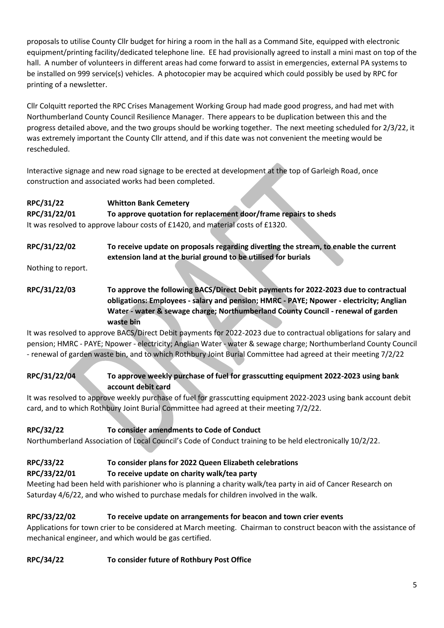proposals to utilise County Cllr budget for hiring a room in the hall as a Command Site, equipped with electronic equipment/printing facility/dedicated telephone line. EE had provisionally agreed to install a mini mast on top of the hall. A number of volunteers in different areas had come forward to assist in emergencies, external PA systems to be installed on 999 service(s) vehicles. A photocopier may be acquired which could possibly be used by RPC for printing of a newsletter.

Cllr Colquitt reported the RPC Crises Management Working Group had made good progress, and had met with Northumberland County Council Resilience Manager. There appears to be duplication between this and the progress detailed above, and the two groups should be working together. The next meeting scheduled for 2/3/22, it was extremely important the County Cllr attend, and if this date was not convenient the meeting would be rescheduled.

Interactive signage and new road signage to be erected at development at the top of Garleigh Road, once construction and associated works had been completed.

#### **RPC/31/22 Whitton Bank Cemetery**

**RPC/31/22/01 To approve quotation for replacement door/frame repairs to sheds** It was resolved to approve labour costs of £1420, and material costs of £1320.

**RPC/31/22/02 To receive update on proposals regarding diverting the stream, to enable the current extension land at the burial ground to be utilised for burials**

Nothing to report.

## **RPC/31/22/03 To approve the following BACS/Direct Debit payments for 2022-2023 due to contractual obligations: Employees - salary and pension; HMRC - PAYE; Npower - electricity; Anglian Water - water & sewage charge; Northumberland County Council - renewal of garden waste bin**

It was resolved to approve BACS/Direct Debit payments for 2022-2023 due to contractual obligations for salary and pension; HMRC - PAYE; Npower - electricity; Anglian Water - water & sewage charge; Northumberland County Council - renewal of garden waste bin, and to which Rothbury Joint Burial Committee had agreed at their meeting 7/2/22

**RPC/31/22/04 To approve weekly purchase of fuel for grasscutting equipment 2022-2023 using bank account debit card**

It was resolved to approve weekly purchase of fuel for grasscutting equipment 2022-2023 using bank account debit card, and to which Rothbury Joint Burial Committee had agreed at their meeting 7/2/22.

## **RPC/32/22 To consider amendments to Code of Conduct**

Northumberland Association of Local Council's Code of Conduct training to be held electronically 10/2/22.

# **RPC/33/22 To consider plans for 2022 Queen Elizabeth celebrations**

#### **RPC/33/22/01 To receive update on charity walk/tea party**

Meeting had been held with parishioner who is planning a charity walk/tea party in aid of Cancer Research on Saturday 4/6/22, and who wished to purchase medals for children involved in the walk.

## **RPC/33/22/02 To receive update on arrangements for beacon and town crier events**

Applications for town crier to be considered at March meeting. Chairman to construct beacon with the assistance of mechanical engineer, and which would be gas certified.

## **RPC/34/22 To consider future of Rothbury Post Office**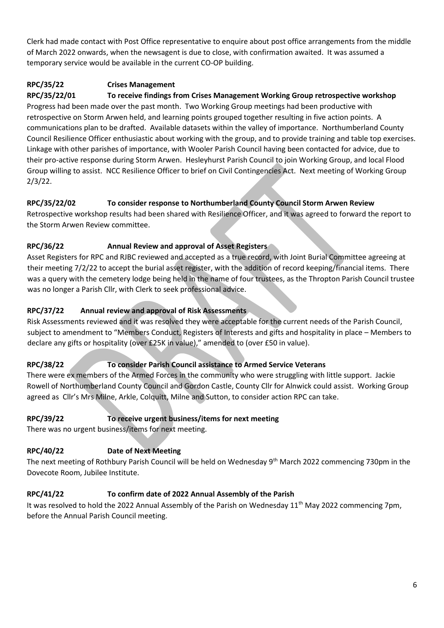Clerk had made contact with Post Office representative to enquire about post office arrangements from the middle of March 2022 onwards, when the newsagent is due to close, with confirmation awaited. It was assumed a temporary service would be available in the current CO-OP building.

## **RPC/35/22 Crises Management**

**RPC/35/22/01 To receive findings from Crises Management Working Group retrospective workshop** Progress had been made over the past month. Two Working Group meetings had been productive with retrospective on Storm Arwen held, and learning points grouped together resulting in five action points. A communications plan to be drafted. Available datasets within the valley of importance. Northumberland County Council Resilience Officer enthusiastic about working with the group, and to provide training and table top exercises. Linkage with other parishes of importance, with Wooler Parish Council having been contacted for advice, due to their pro-active response during Storm Arwen. Hesleyhurst Parish Council to join Working Group, and local Flood Group willing to assist. NCC Resilience Officer to brief on Civil Contingencies Act. Next meeting of Working Group 2/3/22.

## **RPC/35/22/02 To consider response to Northumberland County Council Storm Arwen Review**

Retrospective workshop results had been shared with Resilience Officer, and it was agreed to forward the report to the Storm Arwen Review committee.

## **RPC/36/22 Annual Review and approval of Asset Registers**

Asset Registers for RPC and RJBC reviewed and accepted as a true record, with Joint Burial Committee agreeing at their meeting 7/2/22 to accept the burial asset register, with the addition of record keeping/financial items. There was a query with the cemetery lodge being held in the name of four trustees, as the Thropton Parish Council trustee was no longer a Parish Cllr, with Clerk to seek professional advice.

## **RPC/37/22 Annual review and approval of Risk Assessments**

Risk Assessments reviewed and it was resolved they were acceptable for the current needs of the Parish Council, subject to amendment to "Members Conduct, Registers of Interests and gifts and hospitality in place – Members to declare any gifts or hospitality (over £25K in value)," amended to (over £50 in value).

# **RPC/38/22 To consider Parish Council assistance to Armed Service Veterans**

There were ex members of the Armed Forces in the community who were struggling with little support. Jackie Rowell of Northumberland County Council and Gordon Castle, County Cllr for Alnwick could assist. Working Group agreed as Cllr's Mrs Milne, Arkle, Colquitt, Milne and Sutton, to consider action RPC can take.

# **RPC/39/22 To receive urgent business/items for next meeting**

There was no urgent business/items for next meeting.

# **RPC/40/22 Date of Next Meeting**

The next meeting of Rothbury Parish Council will be held on Wednesday 9<sup>th</sup> March 2022 commencing 730pm in the Dovecote Room, Jubilee Institute.

# **RPC/41/22 To confirm date of 2022 Annual Assembly of the Parish**

It was resolved to hold the 2022 Annual Assembly of the Parish on Wednesday 11<sup>th</sup> May 2022 commencing 7pm, before the Annual Parish Council meeting.